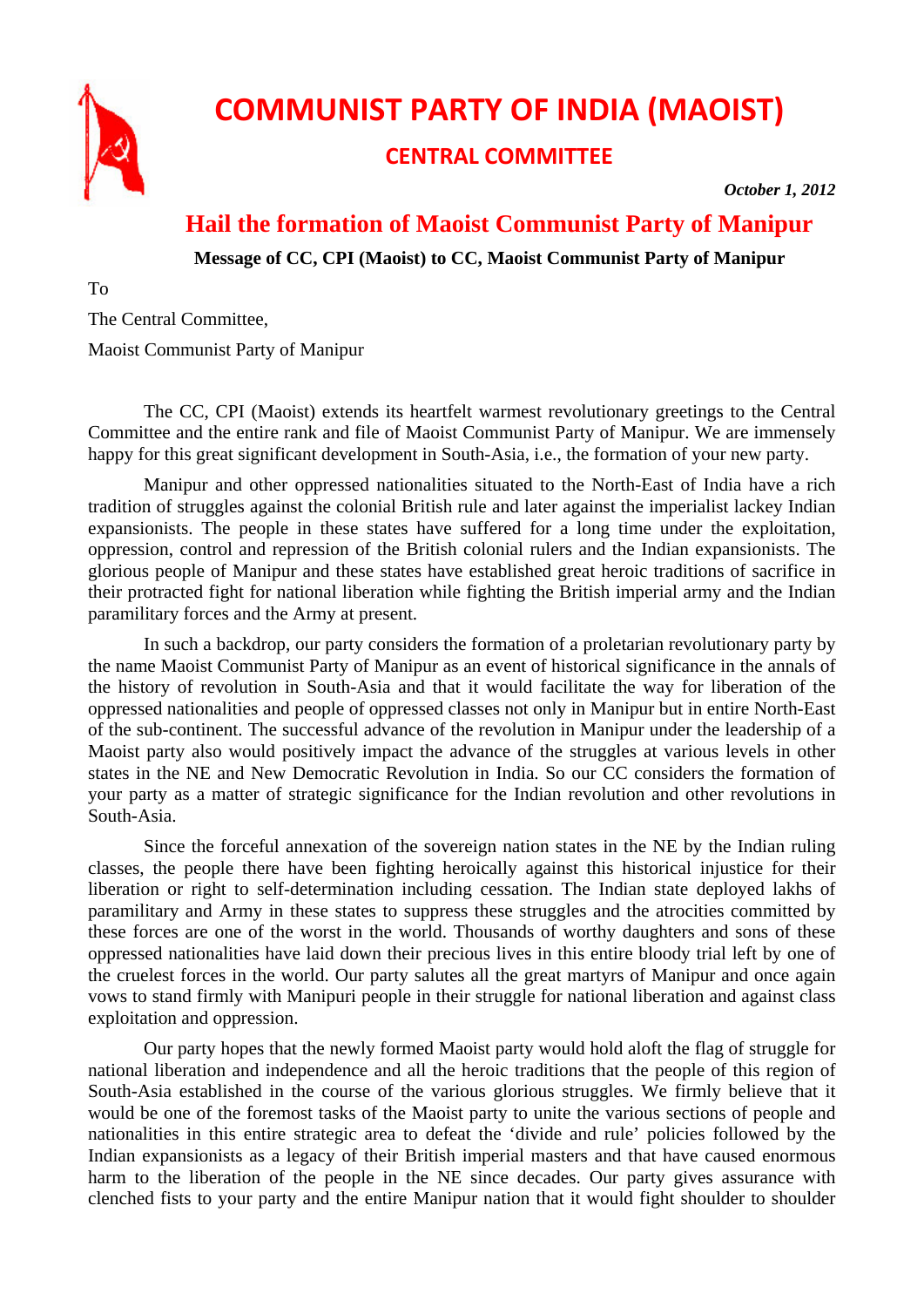

## **COMMUNIST PARTY OF INDIA (MAOIST)**

## **CENTRAL COMMITTEE**

*October 1, 2012* 

## **Hail the formation of Maoist Communist Party of Manipur**

**Message of CC, CPI (Maoist) to CC, Maoist Communist Party of Manipur** 

To

The Central Committee,

Maoist Communist Party of Manipur

The CC, CPI (Maoist) extends its heartfelt warmest revolutionary greetings to the Central Committee and the entire rank and file of Maoist Communist Party of Manipur. We are immensely happy for this great significant development in South-Asia, i.e., the formation of your new party.

Manipur and other oppressed nationalities situated to the North-East of India have a rich tradition of struggles against the colonial British rule and later against the imperialist lackey Indian expansionists. The people in these states have suffered for a long time under the exploitation, oppression, control and repression of the British colonial rulers and the Indian expansionists. The glorious people of Manipur and these states have established great heroic traditions of sacrifice in their protracted fight for national liberation while fighting the British imperial army and the Indian paramilitary forces and the Army at present.

In such a backdrop, our party considers the formation of a proletarian revolutionary party by the name Maoist Communist Party of Manipur as an event of historical significance in the annals of the history of revolution in South-Asia and that it would facilitate the way for liberation of the oppressed nationalities and people of oppressed classes not only in Manipur but in entire North-East of the sub-continent. The successful advance of the revolution in Manipur under the leadership of a Maoist party also would positively impact the advance of the struggles at various levels in other states in the NE and New Democratic Revolution in India. So our CC considers the formation of your party as a matter of strategic significance for the Indian revolution and other revolutions in South-Asia.

Since the forceful annexation of the sovereign nation states in the NE by the Indian ruling classes, the people there have been fighting heroically against this historical injustice for their liberation or right to self-determination including cessation. The Indian state deployed lakhs of paramilitary and Army in these states to suppress these struggles and the atrocities committed by these forces are one of the worst in the world. Thousands of worthy daughters and sons of these oppressed nationalities have laid down their precious lives in this entire bloody trial left by one of the cruelest forces in the world. Our party salutes all the great martyrs of Manipur and once again vows to stand firmly with Manipuri people in their struggle for national liberation and against class exploitation and oppression.

Our party hopes that the newly formed Maoist party would hold aloft the flag of struggle for national liberation and independence and all the heroic traditions that the people of this region of South-Asia established in the course of the various glorious struggles. We firmly believe that it would be one of the foremost tasks of the Maoist party to unite the various sections of people and nationalities in this entire strategic area to defeat the 'divide and rule' policies followed by the Indian expansionists as a legacy of their British imperial masters and that have caused enormous harm to the liberation of the people in the NE since decades. Our party gives assurance with clenched fists to your party and the entire Manipur nation that it would fight shoulder to shoulder